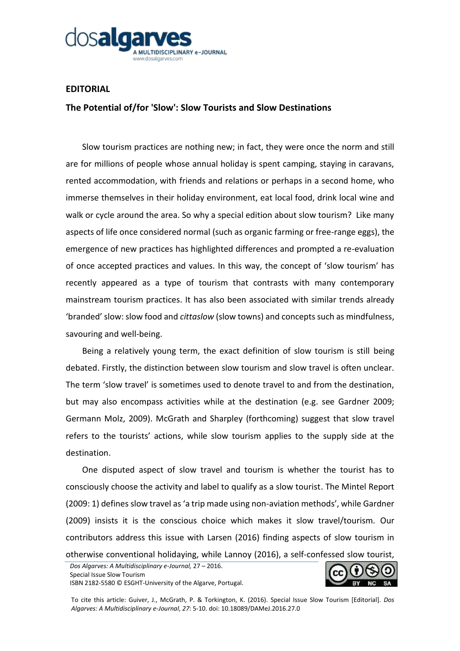

## **EDITORIAL**

## **The Potential of/for 'Slow': Slow Tourists and Slow Destinations**

Slow tourism practices are nothing new; in fact, they were once the norm and still are for millions of people whose annual holiday is spent camping, staying in caravans, rented accommodation, with friends and relations or perhaps in a second home, who immerse themselves in their holiday environment, eat local food, drink local wine and walk or cycle around the area. So why a special edition about slow tourism? Like many aspects of life once considered normal (such as organic farming or free-range eggs), the emergence of new practices has highlighted differences and prompted a re-evaluation of once accepted practices and values. In this way, the concept of 'slow tourism' has recently appeared as a type of tourism that contrasts with many contemporary mainstream tourism practices. It has also been associated with similar trends already 'branded' slow: slow food and *cittaslow* (slow towns) and concepts such as mindfulness, savouring and well-being.

Being a relatively young term, the exact definition of slow tourism is still being debated. Firstly, the distinction between slow tourism and slow travel is often unclear. The term 'slow travel' is sometimes used to denote travel to and from the destination, but may also encompass activities while at the destination (e.g. see Gardner 2009; Germann Molz, 2009). McGrath and Sharpley (forthcoming) suggest that slow travel refers to the tourists' actions, while slow tourism applies to the supply side at the destination.

One disputed aspect of slow travel and tourism is whether the tourist has to consciously choose the activity and label to qualify as a slow tourist. The Mintel Report (2009: 1) defines slow travel as 'a trip made using non-aviation methods', while Gardner (2009) insists it is the conscious choice which makes it slow travel/tourism. Our contributors address this issue with Larsen (2016) finding aspects of slow tourism in otherwise conventional holidaying, while Lannoy (2016), a self-confessed slow tourist,



To cite this article: Guiver, J., McGrath, P. & Torkington, K. (2016). Special Issue Slow Tourism [Editorial]. *Dos Algarves: A Multidisciplinary e-Journal*, *27*: 5-10. doi: 10.18089/DAMeJ.2016.27.0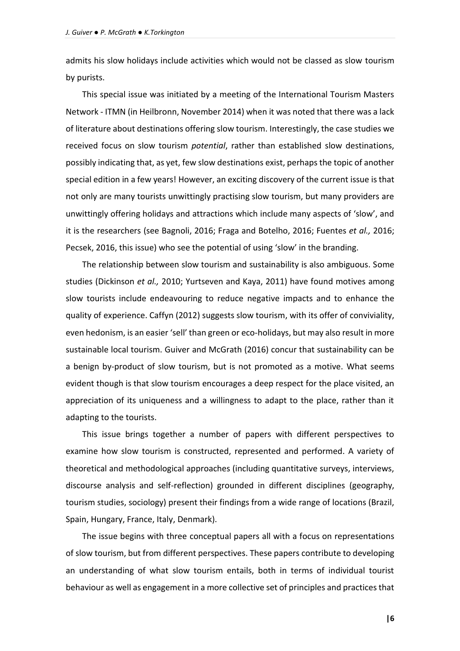admits his slow holidays include activities which would not be classed as slow tourism by purists.

This special issue was initiated by a meeting of the International Tourism Masters Network - ITMN (in Heilbronn, November 2014) when it was noted that there was a lack of literature about destinations offering slow tourism. Interestingly, the case studies we received focus on slow tourism *potential*, rather than established slow destinations, possibly indicating that, as yet, few slow destinations exist, perhaps the topic of another special edition in a few years! However, an exciting discovery of the current issue is that not only are many tourists unwittingly practising slow tourism, but many providers are unwittingly offering holidays and attractions which include many aspects of 'slow', and it is the researchers (see Bagnoli, 2016; Fraga and Botelho, 2016; Fuentes *et al.,* 2016; Pecsek, 2016, this issue) who see the potential of using 'slow' in the branding.

The relationship between slow tourism and sustainability is also ambiguous. Some studies (Dickinson *et al.,* 2010; Yurtseven and Kaya, 2011) have found motives among slow tourists include endeavouring to reduce negative impacts and to enhance the quality of experience. Caffyn (2012) suggests slow tourism, with its offer of conviviality, even hedonism, is an easier 'sell' than green or eco-holidays, but may also result in more sustainable local tourism. Guiver and McGrath (2016) concur that sustainability can be a benign by-product of slow tourism, but is not promoted as a motive. What seems evident though is that slow tourism encourages a deep respect for the place visited, an appreciation of its uniqueness and a willingness to adapt to the place, rather than it adapting to the tourists.

This issue brings together a number of papers with different perspectives to examine how slow tourism is constructed, represented and performed. A variety of theoretical and methodological approaches (including quantitative surveys, interviews, discourse analysis and self-reflection) grounded in different disciplines (geography, tourism studies, sociology) present their findings from a wide range of locations (Brazil, Spain, Hungary, France, Italy, Denmark).

The issue begins with three conceptual papers all with a focus on representations of slow tourism, but from different perspectives. These papers contribute to developing an understanding of what slow tourism entails, both in terms of individual tourist behaviour as well as engagement in a more collective set of principles and practices that

**|6**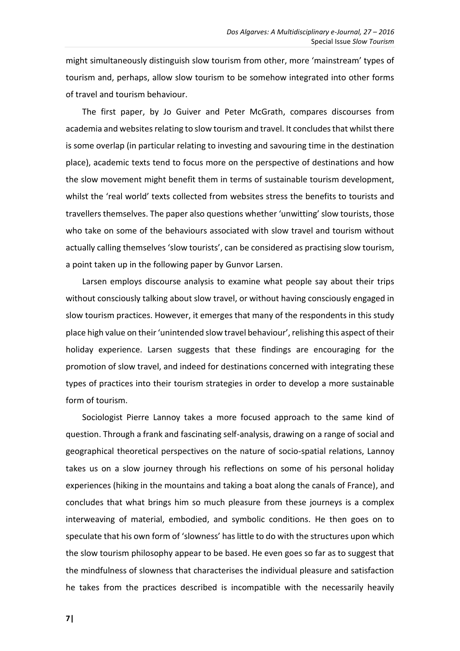might simultaneously distinguish slow tourism from other, more 'mainstream' types of tourism and, perhaps, allow slow tourism to be somehow integrated into other forms of travel and tourism behaviour.

The first paper, by Jo Guiver and Peter McGrath, compares discourses from academia and websites relating to slow tourism and travel. It concludes that whilst there is some overlap (in particular relating to investing and savouring time in the destination place), academic texts tend to focus more on the perspective of destinations and how the slow movement might benefit them in terms of sustainable tourism development, whilst the 'real world' texts collected from websites stress the benefits to tourists and travellers themselves. The paper also questions whether 'unwitting' slow tourists, those who take on some of the behaviours associated with slow travel and tourism without actually calling themselves 'slow tourists', can be considered as practising slow tourism, a point taken up in the following paper by Gunvor Larsen.

Larsen employs discourse analysis to examine what people say about their trips without consciously talking about slow travel, or without having consciously engaged in slow tourism practices. However, it emerges that many of the respondents in this study place high value on their 'unintended slow travel behaviour', relishing this aspect of their holiday experience. Larsen suggests that these findings are encouraging for the promotion of slow travel, and indeed for destinations concerned with integrating these types of practices into their tourism strategies in order to develop a more sustainable form of tourism.

Sociologist Pierre Lannoy takes a more focused approach to the same kind of question. Through a frank and fascinating self-analysis, drawing on a range of social and geographical theoretical perspectives on the nature of socio-spatial relations, Lannoy takes us on a slow journey through his reflections on some of his personal holiday experiences (hiking in the mountains and taking a boat along the canals of France), and concludes that what brings him so much pleasure from these journeys is a complex interweaving of material, embodied, and symbolic conditions. He then goes on to speculate that his own form of 'slowness' has little to do with the structures upon which the slow tourism philosophy appear to be based. He even goes so far as to suggest that the mindfulness of slowness that characterises the individual pleasure and satisfaction he takes from the practices described is incompatible with the necessarily heavily

**7|**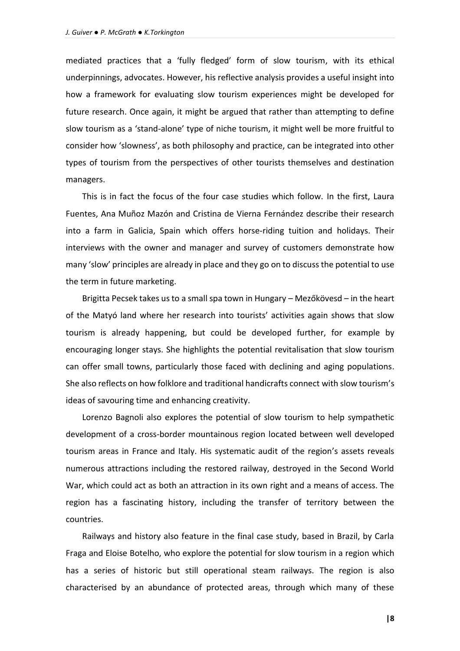mediated practices that a 'fully fledged' form of slow tourism, with its ethical underpinnings, advocates. However, his reflective analysis provides a useful insight into how a framework for evaluating slow tourism experiences might be developed for future research. Once again, it might be argued that rather than attempting to define slow tourism as a 'stand-alone' type of niche tourism, it might well be more fruitful to consider how 'slowness', as both philosophy and practice, can be integrated into other types of tourism from the perspectives of other tourists themselves and destination managers.

This is in fact the focus of the four case studies which follow. In the first, Laura Fuentes, Ana Muñoz Mazón and Cristina de Vierna Fernández describe their research into a farm in Galicia, Spain which offers horse-riding tuition and holidays. Their interviews with the owner and manager and survey of customers demonstrate how many 'slow' principles are already in place and they go on to discuss the potential to use the term in future marketing.

Brigitta Pecsek takes us to a small spa town in Hungary – Mezőkövesd – in the heart of the Matyó land where her research into tourists' activities again shows that slow tourism is already happening, but could be developed further, for example by encouraging longer stays. She highlights the potential revitalisation that slow tourism can offer small towns, particularly those faced with declining and aging populations. She also reflects on how folklore and traditional handicrafts connect with slow tourism's ideas of savouring time and enhancing creativity.

Lorenzo Bagnoli also explores the potential of slow tourism to help sympathetic development of a cross-border mountainous region located between well developed tourism areas in France and Italy. His systematic audit of the region's assets reveals numerous attractions including the restored railway, destroyed in the Second World War, which could act as both an attraction in its own right and a means of access. The region has a fascinating history, including the transfer of territory between the countries.

Railways and history also feature in the final case study, based in Brazil, by Carla Fraga and Eloise Botelho, who explore the potential for slow tourism in a region which has a series of historic but still operational steam railways. The region is also characterised by an abundance of protected areas, through which many of these

**|8**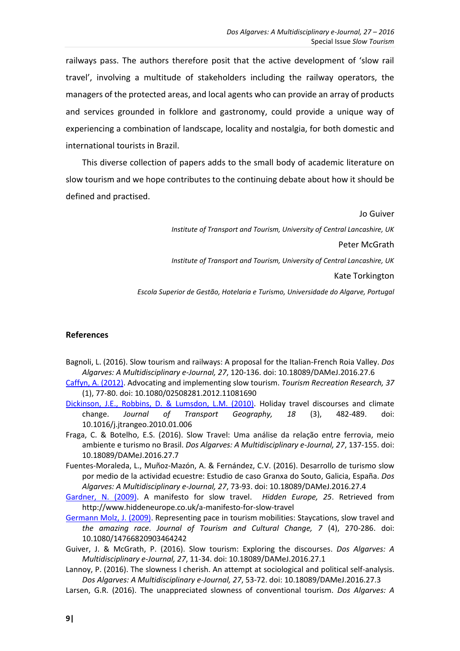railways pass. The authors therefore posit that the active development of 'slow rail travel', involving a multitude of stakeholders including the railway operators, the managers of the protected areas, and local agents who can provide an array of products and services grounded in folklore and gastronomy, could provide a unique way of experiencing a combination of landscape, locality and nostalgia, for both domestic and international tourists in Brazil.

This diverse collection of papers adds to the small body of academic literature on slow tourism and we hope contributes to the continuing debate about how it should be defined and practised.

Jo Guiver

*Institute of Transport and Tourism, University of Central Lancashire, UK*

Peter McGrath

*Institute of Transport and Tourism, University of Central Lancashire, UK*

Kate Torkington

*Escola Superior de Gestão, Hotelaria e Turismo, Universidade do Algarve, Portugal*

## **References**

- Bagnoli, L. (2016). Slow tourism and railways: A proposal for the Italian-French Roia Valley. *Dos Algarves: A Multidisciplinary e-Journal, 27*, 120-136. doi: 10.18089/DAMeJ.2016.27.6
- [Caffyn, A. \(2012\).](http://www.tandfonline.com/doi/abs/10.1080/02508281.2012.11081690?journalCode=rtrr20) Advocating and implementing slow tourism. *Tourism Recreation Research, 37* (1), 77-80. doi: 10.1080/02508281.2012.11081690
- [Dickinson, J.E., Robbins, D. & Lumsdon, L.M.](http://www.sciencedirect.com/science/article/pii/S0966692310000086) (2010). Holiday travel discourses and climate change. *Journal of Transport Geography, 18* (3), 482-489. doi: 10.1016/j.jtrangeo.2010.01.006
- Fraga, C. & Botelho, E.S. (2016). Slow Travel: Uma análise da relação entre ferrovia, meio ambiente e turismo no Brasil. *Dos Algarves: A Multidisciplinary e-Journal, 27*, 137-155. doi: 10.18089/DAMeJ.2016.27.7
- Fuentes-Moraleda, L., Muñoz-Mazón, A. & Fernández, C.V. (2016). Desarrollo de turismo slow por medio de la actividad ecuestre: Estudio de caso Granxa do Souto, Galicia, España. *Dos Algarves: A Multidisciplinary e-Journal, 27*, 73-93. doi: 10.18089/DAMeJ.2016.27.4
- [Gardner, N. \(2009\).](http://www.hiddeneurope.co.uk/a-manifesto-for-slow-travel) A manifesto for slow travel. *Hidden Europe, 25*. Retrieved from http://www.hiddeneurope.co.uk/a-manifesto-for-slow-travel
- [Germann Molz,](http://www.tandfonline.com/doi/abs/10.1080/14766820903464242) J. (2009). Representing pace in tourism mobilities: Staycations, slow travel and *the amazing race*. *Journal of Tourism and Cultural Change, 7* (4), 270-286. doi: 10.1080/14766820903464242
- Guiver, J. & McGrath, P. (2016). Slow tourism: Exploring the discourses. *Dos Algarves: A Multidisciplinary e-Journal, 27*, 11-34. doi: 10.18089/DAMeJ.2016.27.1
- Lannoy, P. (2016). The slowness I cherish. An attempt at sociological and political self-analysis. *Dos Algarves: A Multidisciplinary e-Journal, 27*, 53-72. doi: 10.18089/DAMeJ.2016.27.3
- Larsen, G.R. (2016). The unappreciated slowness of conventional tourism. *Dos Algarves: A*